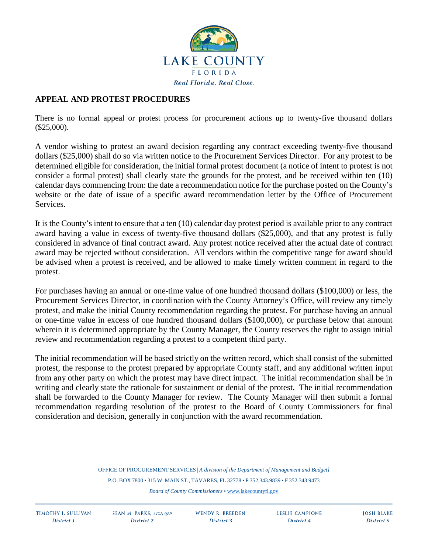

## **APPEAL AND PROTEST PROCEDURES**

There is no formal appeal or protest process for procurement actions up to twenty-five thousand dollars (\$25,000).

A vendor wishing to protest an award decision regarding any contract exceeding twenty-five thousand dollars (\$25,000) shall do so via written notice to the Procurement Services Director. For any protest to be determined eligible for consideration, the initial formal protest document (a notice of intent to protest is not consider a formal protest) shall clearly state the grounds for the protest, and be received within ten (10) calendar days commencing from: the date a recommendation notice for the purchase posted on the County's website or the date of issue of a specific award recommendation letter by the Office of Procurement Services.

It is the County's intent to ensure that a ten (10) calendar day protest period is available prior to any contract award having a value in excess of twenty-five thousand dollars (\$25,000), and that any protest is fully considered in advance of final contract award. Any protest notice received after the actual date of contract award may be rejected without consideration. All vendors within the competitive range for award should be advised when a protest is received, and be allowed to make timely written comment in regard to the protest.

For purchases having an annual or one-time value of one hundred thousand dollars (\$100,000) or less, the Procurement Services Director, in coordination with the County Attorney's Office, will review any timely protest, and make the initial County recommendation regarding the protest. For purchase having an annual or one-time value in excess of one hundred thousand dollars (\$100,000), or purchase below that amount wherein it is determined appropriate by the County Manager, the County reserves the right to assign initial review and recommendation regarding a protest to a competent third party.

The initial recommendation will be based strictly on the written record, which shall consist of the submitted protest, the response to the protest prepared by appropriate County staff, and any additional written input from any other party on which the protest may have direct impact. The initial recommendation shall be in writing and clearly state the rationale for sustainment or denial of the protest. The initial recommendation shall be forwarded to the County Manager for review. The County Manager will then submit a formal recommendation regarding resolution of the protest to the Board of County Commissioners for final consideration and decision, generally in conjunction with the award recommendation.

> OFFICE OF PROCUREMENT SERVICES | *A division of the Department of Management and Budget]* P.O. BOX 7800 • 315 W. MAIN ST., TAVARES, FL 32778 • P 352.343.9839 • F 352.343.9473 *Board of County Commissioners* [• www.lakecountyfl.gov](https://www.lakecountyfl.gov/)

**TIMOTHY I. SULLIVAN** District 1

**SEAN M. PARKS, AICP. OEP** District 2

**WENDY R. BREEDEN** District 3

**LESLIE CAMPIONE** District 4

**JOSH BLAKE** District 5